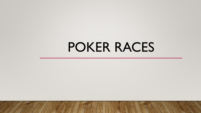# POKER RACES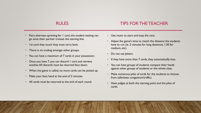#### TIPS FOR THE TEACHER

- Pairs alternate sprinting for 1 card, the student waiting can go once their partner crosses the starting line.
- Ist card they touch they must carry back.
- There is no trading amongst other groups.
- You can have a maximum of 7 cards in your possession.
- Once you have 7, you can discard I card and retrieve another. All discards must be returned face down.
- When the game is called, no more cards can be picked up.
- Make your best hand at the end of 2 minutes.
- All cards must be returned at the end of each round.
- Use music to start and stop the race.
- Adjust the game's time to match the distance the students have to run (ie. 2 minutes for long distances, 1:30 for medium, etc).
- Do not use Jokers.
- If they have more than 7 cards, they automatically lose.
- You can have groups of students compare their hands against other groups of students or the whole class.
- Make numerous piles of cards for the students to choose from (alleviates congestion/traffic).
- Have judges at both the starting point and the piles of cards.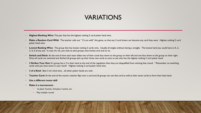### VARIATIONS

- **Highest Ranking Wins:** The pair that has the highest ranking 5 card poker hand wins.
- Make a Random Card Wild: The teacher calls out "2's are wild" this game, so that any 2 card drawn can become any card they want. Highest ranking 5 card poker hand wins.
- Lowest Ranking Wins: The group that has lowest ranking 5 cards wins. Usually all singles without having a straight. The lowest hand you could have is A, 2, 3, 4, 6 of any suit. In case of a tie, you look at each groups next lowest card and so on.
- **Switch and Ditch:** At the end of time each team slides two of their cards face down to the group on their left and one face down to the group on their right. Once all cards are switched and ditched all groups pick up their three new cards at once to see who has the highest ranking 5 card poker hand.
- **3 Strikes Your Out:** If a group has a 3 in their hand at the end of the regulation then they are disqualified from winning that round. \* Remember no switching cards until you have seven in your hand! Highest ranking 5 card poker hand wins.
- **3 of a Kind:** Best 3 of a kind wins…all other poker hands are void.
- Teacher Card: At the end of the round a teacher flips over a card and all groups can use that card as well as their seven cards to form their best hand.
- **Use a different motor skill**
- **Make it a tournament:**
	- 1st place 4 points, 2nd place 3 points, etc.
	- Play multiple rounds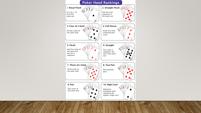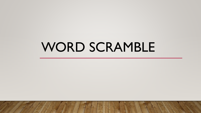# WORD SCRAMBLE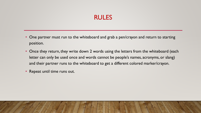- One partner must run to the whiteboard and grab a pen/crayon and return to starting position.
- Once they return, they write down 2 words using the letters from the whiteboard (each letter can only be used once and words cannot be people's names, acronyms, or slang) and their partner runs to the whiteboard to get a different colored marker/crayon.
- Repeat until time runs out.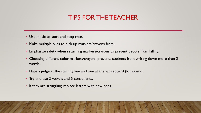### TIPS FOR THE TEACHER

- Use music to start and stop race.
- Make multiple piles to pick up markers/crayons from.
- Emphasize safety when returning markers/crayons to prevent people from falling.
- Choosing different color markers/crayons prevents students from writing down more than 2 words.
- Have a judge at the starting line and one at the whiteboard (for safety).
- Try and use 2 vowels and 5 consonants.
- If they are struggling, replace letters with new ones.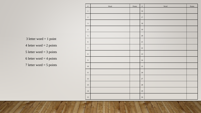| $\#$             | Word | Points | $\#$   | Word | Points |
|------------------|------|--------|--------|------|--------|
| $\,1\,$          |      |        | $16\,$ |      |        |
| $\sqrt{2}$       |      |        | $17\,$ |      |        |
| $\sqrt{3}$       |      |        | $18\,$ |      |        |
| $\sqrt{4}$       |      |        | 19     |      |        |
| $\mathfrak{S}$   |      |        | $20\,$ |      |        |
| $\sqrt{6}$       |      |        | $21\,$ |      |        |
| $\boldsymbol{7}$ |      |        | $22\,$ |      |        |
| $\,8\,$          |      |        | 23     |      |        |
| $\boldsymbol{9}$ |      |        | 24     |      |        |
| $10\,$           |      |        | $25\,$ |      |        |
| $11\,$           |      |        | 26     |      |        |
| $12\,$           |      |        | $27\,$ |      |        |
| $13\,$           |      |        | 28     |      |        |
| $14\,$           |      |        | 29     |      |        |
| $15\,$           |      |        | $30\,$ |      |        |

 letter word = 1 point 4 letter word  $= 2$  points 5 letter word  $=$  3 points 6 letter word  $=$  4 points 7 letter word = 5 points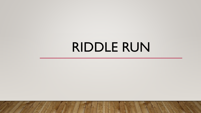# RIDDLE RUN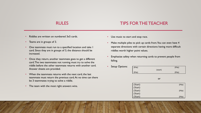#### TIPS FOR THE TEACHER

- Riddles are written on numbered 3x5 cards.
- Teams are in groups of 3.
- One teammate must run to a specified location and take 1 card. Since they are in groups of 3, the distance should be increased.
- Once they return, another teammate goes to get a different card. The two teammates not running must try to solve the riddle before the other teammate returns with another card. Answer sheets are provided.
- When the teammate returns with the next card, the last teammate must return the previous card. At no time can there be 3 teammates trying to solve a riddle.
- The team with the most right answers wins.
- Use music to start and stop race.
- Make multiple piles to pick up cards from. You can even have 4 separate directions with certain directions having more difficult riddles worth higher point values.
- Emphasize safety when returning cards to prevent people from falling.
- Setup Options: (Pile) (Pile) (start)

|         | (start) |        |
|---------|---------|--------|
| (Pile)  |         | (Pile) |
|         |         |        |
|         | or      |        |
|         |         |        |
| (Start) |         | (Pile) |
| (Start) |         |        |
|         |         |        |
| (Start) |         | (Pile) |
| (Start) |         |        |
| (Start) |         | (Pile) |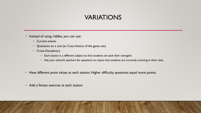### VARIATIONS

- Instead of using riddles, you can use:
	- Current events
	- Questions on a unit (ie. Cues, history of the game, etc)
	- Cross-Disciplinary
		- Each station is a different subject so that students can pick their strengths
		- Ask your school's teachers for questions on topics that students are currently covering in their class.
- Have different point values at each station. Higher difficulty questions equal more points.
- Add a fitness exercise at each station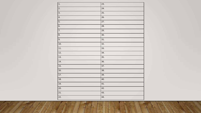| 1.                | 23. |
|-------------------|-----|
| 2.                | 24. |
| $\overline{3}$ .  | 25. |
| 4.                | 26. |
| $\overline{5}$ .  | 27. |
| 6.                | 28. |
| $\overline{7}$ .  | 29. |
| 8.                | 30. |
| 9.                | 31. |
| 10.               | 32. |
| 11.               | 33. |
| 12.               | 34. |
| 13.               | 35. |
| 14.               | 36. |
| 15.               | 37. |
| 16.               | 38. |
| 17.               | 39. |
| 18.               | 40. |
| 19.               | 41. |
| 20.               | 42. |
| $\overline{21}$ . | 43. |
| 22.               | 44. |

×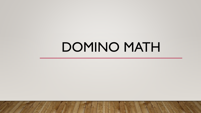# DOMINO MATH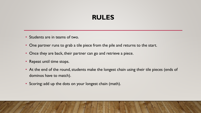- Students are in teams of two.
- One partner runs to grab a tile piece from the pile and returns to the start.
- Once they are back, their partner can go and retrieve a piece.
- Repeat until time stops.
- At the end of the round, students make the longest chain using their tile pieces (ends of dominos have to match).
- Scoring: add up the dots on your longest chain (math).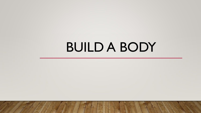# BUILD A BODY